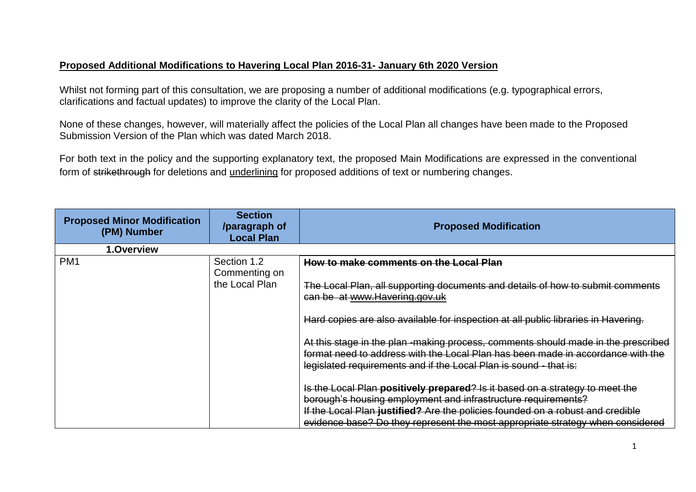## **Proposed Additional Modifications to Havering Local Plan 2016-31- January 6th 2020 Version**

Whilst not forming part of this consultation, we are proposing a number of additional modifications (e.g. typographical errors, clarifications and factual updates) to improve the clarity of the Local Plan.

 Submission Version of the Plan which was dated March 2018. None of these changes, however, will materially affect the policies of the Local Plan all changes have been made to the Proposed

 For both text in the policy and the supporting explanatory text, the proposed Main Modifications are expressed in the conventional form of <del>strikethrough</del> for deletions and <u>underlining</u> for proposed additions of text or numbering changes.

| <b>Proposed Minor Modification</b><br>(PM) Number | <b>Section</b><br>/paragraph of<br><b>Local Plan</b> | <b>Proposed Modification</b>                                                                                                                                                                                                                                                                                      |
|---------------------------------------------------|------------------------------------------------------|-------------------------------------------------------------------------------------------------------------------------------------------------------------------------------------------------------------------------------------------------------------------------------------------------------------------|
| 1.Overview                                        |                                                      |                                                                                                                                                                                                                                                                                                                   |
| PM <sub>1</sub>                                   | Section 1.2<br>Commenting on<br>the Local Plan       | How to make comments on the Local Plan<br>The Local Plan, all supporting documents and details of how to submit comments<br>can be at www.Havering.gov.uk                                                                                                                                                         |
|                                                   |                                                      | Hard copies are also available for inspection at all public libraries in Havering.<br>At this stage in the plan-making process, comments should made in the prescribed                                                                                                                                            |
|                                                   |                                                      | format need to address with the Local Plan has been made in accordance with the<br>legislated requirements and if the Local Plan is sound - that is:                                                                                                                                                              |
|                                                   |                                                      | Is the Local Plan positively prepared? Is it based on a strategy to meet the<br>borough's housing employment and infrastructure requirements?<br>If the Local Plan justified? Are the policies founded on a robust and credible<br>evidence base? Do they represent the most appropriate strategy when considered |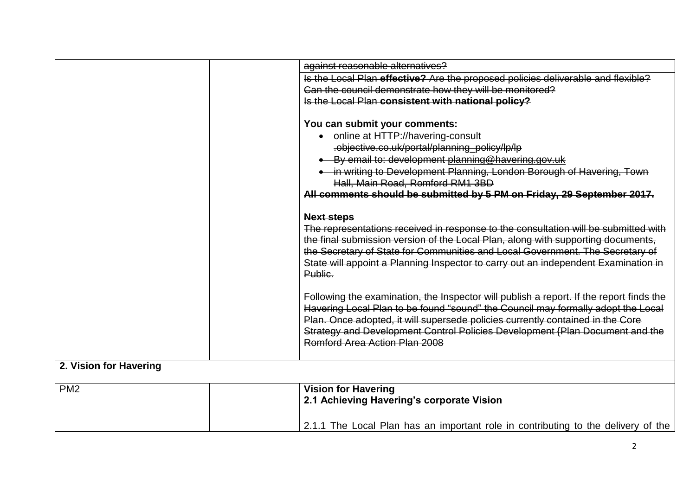|                        | against reasonable alternatives?                                                                                                                                                                                                                                                                                                                                               |
|------------------------|--------------------------------------------------------------------------------------------------------------------------------------------------------------------------------------------------------------------------------------------------------------------------------------------------------------------------------------------------------------------------------|
|                        | Is the Local Plan effective? Are the proposed policies deliverable and flexible?                                                                                                                                                                                                                                                                                               |
|                        | Can the council demonstrate how they will be monitored?                                                                                                                                                                                                                                                                                                                        |
|                        | Is the Local Plan consistent with national policy?                                                                                                                                                                                                                                                                                                                             |
|                        | You can submit your comments:                                                                                                                                                                                                                                                                                                                                                  |
|                        | • online at HTTP://havering-consult                                                                                                                                                                                                                                                                                                                                            |
|                        | .objective.co.uk/portal/planning_policy/lp/lp                                                                                                                                                                                                                                                                                                                                  |
|                        | • By email to: development planning@havering.gov.uk                                                                                                                                                                                                                                                                                                                            |
|                        | . in writing to Development Planning, London Borough of Havering, Town<br>Hall, Main Road, Romford RM1 3BD                                                                                                                                                                                                                                                                     |
|                        | All comments should be submitted by 5 PM on Friday, 29 September 2017.                                                                                                                                                                                                                                                                                                         |
|                        | <b>Next steps</b>                                                                                                                                                                                                                                                                                                                                                              |
|                        | The representations received in response to the consultation will be submitted with<br>the final submission version of the Local Plan, along with supporting documents,<br>the Secretary of State for Communities and Local Government. The Secretary of<br>State will appoint a Planning Inspector to carry out an independent Examination in                                 |
|                        | Public.                                                                                                                                                                                                                                                                                                                                                                        |
|                        | Following the examination, the Inspector will publish a report. If the report finds the<br>Havering Local Plan to be found "sound" the Council may formally adopt the Local<br>Plan. Once adopted, it will supersede policies currently contained in the Core<br>Strategy and Development Control Policies Development (Plan Document and the<br>Romford Area Action Plan 2008 |
| 2. Vision for Havering |                                                                                                                                                                                                                                                                                                                                                                                |
|                        |                                                                                                                                                                                                                                                                                                                                                                                |
| PM <sub>2</sub>        | <b>Vision for Havering</b><br>2.1 Achieving Havering's corporate Vision                                                                                                                                                                                                                                                                                                        |
|                        | 2.1.1 The Local Plan has an important role in contributing to the delivery of the                                                                                                                                                                                                                                                                                              |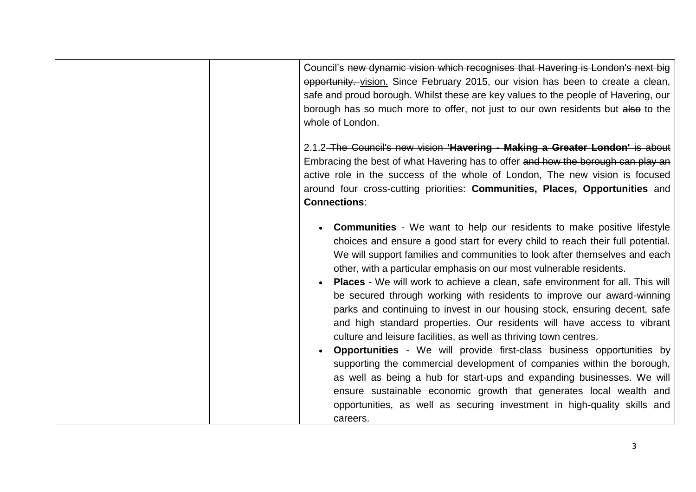| Council's new dynamic vision which recognises that Havering is London's next big<br>opportunity. vision. Since February 2015, our vision has been to create a clean,<br>safe and proud borough. Whilst these are key values to the people of Havering, our<br>borough has so much more to offer, not just to our own residents but also to the<br>whole of London.                                                                                                                                                                                                                                                                                                                                                                                                                                                                                                                                                                                                                                                                                                                                                     |
|------------------------------------------------------------------------------------------------------------------------------------------------------------------------------------------------------------------------------------------------------------------------------------------------------------------------------------------------------------------------------------------------------------------------------------------------------------------------------------------------------------------------------------------------------------------------------------------------------------------------------------------------------------------------------------------------------------------------------------------------------------------------------------------------------------------------------------------------------------------------------------------------------------------------------------------------------------------------------------------------------------------------------------------------------------------------------------------------------------------------|
| 2.1.2-The Council's new vision 'Havering - Making a Greater London' is about<br>Embracing the best of what Havering has to offer and how the borough can play an<br>active role in the success of the whole of London, The new vision is focused<br>around four cross-cutting priorities: Communities, Places, Opportunities and<br><b>Connections:</b>                                                                                                                                                                                                                                                                                                                                                                                                                                                                                                                                                                                                                                                                                                                                                                |
| <b>Communities</b> - We want to help our residents to make positive lifestyle<br>choices and ensure a good start for every child to reach their full potential.<br>We will support families and communities to look after themselves and each<br>other, with a particular emphasis on our most vulnerable residents.<br><b>Places</b> - We will work to achieve a clean, safe environment for all. This will<br>be secured through working with residents to improve our award-winning<br>parks and continuing to invest in our housing stock, ensuring decent, safe<br>and high standard properties. Our residents will have access to vibrant<br>culture and leisure facilities, as well as thriving town centres.<br><b>Opportunities</b> - We will provide first-class business opportunities by<br>supporting the commercial development of companies within the borough,<br>as well as being a hub for start-ups and expanding businesses. We will<br>ensure sustainable economic growth that generates local wealth and<br>opportunities, as well as securing investment in high-quality skills and<br>careers. |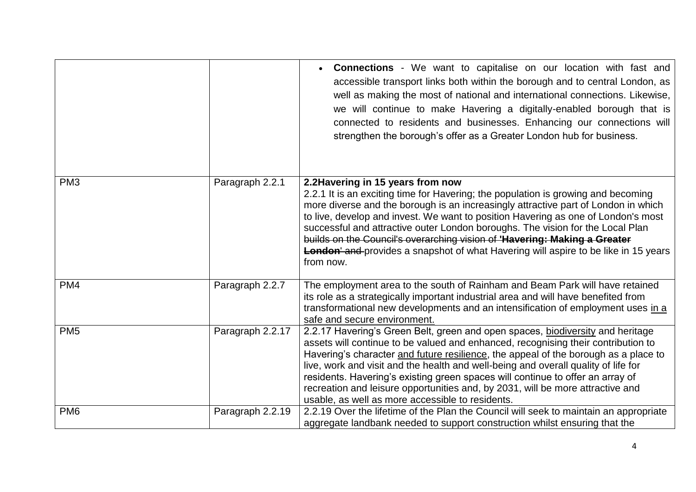|                 |                  | <b>Connections</b> - We want to capitalise on our location with fast and<br>accessible transport links both within the borough and to central London, as<br>well as making the most of national and international connections. Likewise,<br>we will continue to make Havering a digitally-enabled borough that is<br>connected to residents and businesses. Enhancing our connections will<br>strengthen the borough's offer as a Greater London hub for business.                                                                                                          |
|-----------------|------------------|-----------------------------------------------------------------------------------------------------------------------------------------------------------------------------------------------------------------------------------------------------------------------------------------------------------------------------------------------------------------------------------------------------------------------------------------------------------------------------------------------------------------------------------------------------------------------------|
| PM <sub>3</sub> | Paragraph 2.2.1  | 2.2 Havering in 15 years from now<br>2.2.1 It is an exciting time for Havering; the population is growing and becoming<br>more diverse and the borough is an increasingly attractive part of London in which<br>to live, develop and invest. We want to position Havering as one of London's most<br>successful and attractive outer London boroughs. The vision for the Local Plan<br>builds on the Council's overarching vision of 'Havering: Making a Greater<br><b>London'</b> and provides a snapshot of what Havering will aspire to be like in 15 years<br>from now. |
| PM4             | Paragraph 2.2.7  | The employment area to the south of Rainham and Beam Park will have retained<br>its role as a strategically important industrial area and will have benefited from<br>transformational new developments and an intensification of employment uses in a<br>safe and secure environment.                                                                                                                                                                                                                                                                                      |
| PM <sub>5</sub> | Paragraph 2.2.17 | 2.2.17 Havering's Green Belt, green and open spaces, biodiversity and heritage<br>assets will continue to be valued and enhanced, recognising their contribution to<br>Havering's character and future resilience, the appeal of the borough as a place to<br>live, work and visit and the health and well-being and overall quality of life for<br>residents. Havering's existing green spaces will continue to offer an array of<br>recreation and leisure opportunities and, by 2031, will be more attractive and<br>usable, as well as more accessible to residents.    |
| PM <sub>6</sub> | Paragraph 2.2.19 | 2.2.19 Over the lifetime of the Plan the Council will seek to maintain an appropriate<br>aggregate landbank needed to support construction whilst ensuring that the                                                                                                                                                                                                                                                                                                                                                                                                         |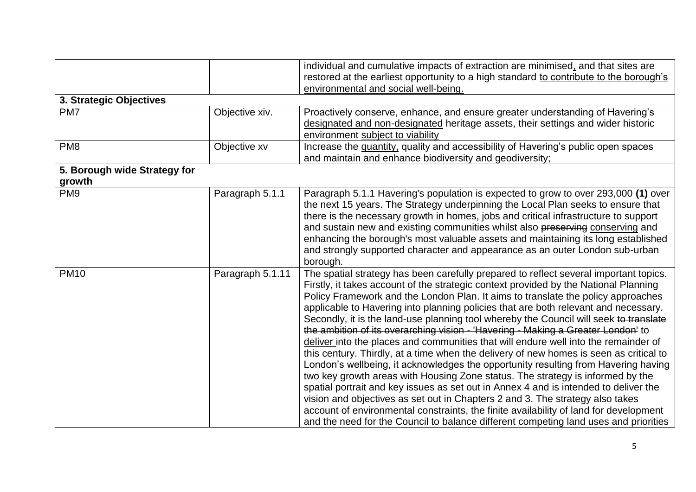|                                        |                  | individual and cumulative impacts of extraction are minimised, and that sites are<br>restored at the earliest opportunity to a high standard to contribute to the borough's<br>environmental and social well-being.                                                                                                                                                                                                                                                                                                                                                                                                                                                                                                                                                                                                                                                                                                                                                                                                                                                                                                                                                                                                                                      |
|----------------------------------------|------------------|----------------------------------------------------------------------------------------------------------------------------------------------------------------------------------------------------------------------------------------------------------------------------------------------------------------------------------------------------------------------------------------------------------------------------------------------------------------------------------------------------------------------------------------------------------------------------------------------------------------------------------------------------------------------------------------------------------------------------------------------------------------------------------------------------------------------------------------------------------------------------------------------------------------------------------------------------------------------------------------------------------------------------------------------------------------------------------------------------------------------------------------------------------------------------------------------------------------------------------------------------------|
| 3. Strategic Objectives                |                  |                                                                                                                                                                                                                                                                                                                                                                                                                                                                                                                                                                                                                                                                                                                                                                                                                                                                                                                                                                                                                                                                                                                                                                                                                                                          |
| PM7                                    | Objective xiv.   | Proactively conserve, enhance, and ensure greater understanding of Havering's<br>designated and non-designated heritage assets, their settings and wider historic<br>environment subject to viability                                                                                                                                                                                                                                                                                                                                                                                                                                                                                                                                                                                                                                                                                                                                                                                                                                                                                                                                                                                                                                                    |
| PM <sub>8</sub>                        | Objective xv     | Increase the quantity, quality and accessibility of Havering's public open spaces<br>and maintain and enhance biodiversity and geodiversity;                                                                                                                                                                                                                                                                                                                                                                                                                                                                                                                                                                                                                                                                                                                                                                                                                                                                                                                                                                                                                                                                                                             |
| 5. Borough wide Strategy for<br>growth |                  |                                                                                                                                                                                                                                                                                                                                                                                                                                                                                                                                                                                                                                                                                                                                                                                                                                                                                                                                                                                                                                                                                                                                                                                                                                                          |
| PM <sub>9</sub>                        | Paragraph 5.1.1  | Paragraph 5.1.1 Havering's population is expected to grow to over 293,000 (1) over<br>the next 15 years. The Strategy underpinning the Local Plan seeks to ensure that<br>there is the necessary growth in homes, jobs and critical infrastructure to support<br>and sustain new and existing communities whilst also preserving conserving and<br>enhancing the borough's most valuable assets and maintaining its long established<br>and strongly supported character and appearance as an outer London sub-urban<br>borough.                                                                                                                                                                                                                                                                                                                                                                                                                                                                                                                                                                                                                                                                                                                         |
| <b>PM10</b>                            | Paragraph 5.1.11 | The spatial strategy has been carefully prepared to reflect several important topics.<br>Firstly, it takes account of the strategic context provided by the National Planning<br>Policy Framework and the London Plan. It aims to translate the policy approaches<br>applicable to Havering into planning policies that are both relevant and necessary.<br>Secondly, it is the land-use planning tool whereby the Council will seek to translate<br>the ambition of its overarching vision - 'Havering - Making a Greater London' to<br>deliver into the places and communities that will endure well into the remainder of<br>this century. Thirdly, at a time when the delivery of new homes is seen as critical to<br>London's wellbeing, it acknowledges the opportunity resulting from Havering having<br>two key growth areas with Housing Zone status. The strategy is informed by the<br>spatial portrait and key issues as set out in Annex 4 and is intended to deliver the<br>vision and objectives as set out in Chapters 2 and 3. The strategy also takes<br>account of environmental constraints, the finite availability of land for development<br>and the need for the Council to balance different competing land uses and priorities |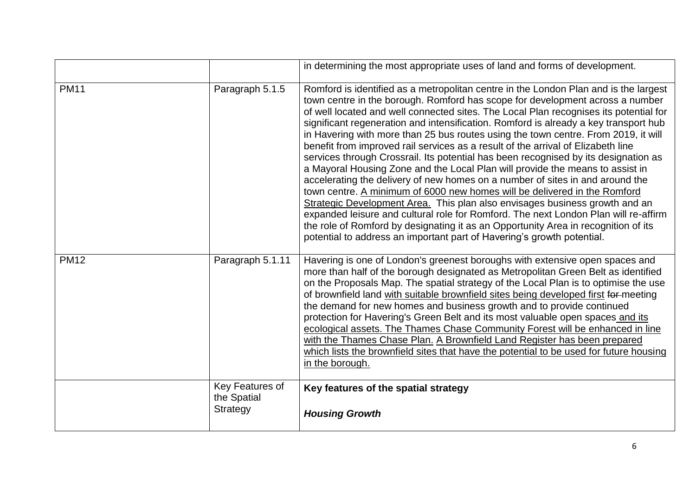|             |                                            | in determining the most appropriate uses of land and forms of development.                                                                                                                                                                                                                                                                                                                                                                                                                                                                                                                                                                                                                                                                                                                                                                                                                                                                                                                                                                                                                                                                                                                                   |
|-------------|--------------------------------------------|--------------------------------------------------------------------------------------------------------------------------------------------------------------------------------------------------------------------------------------------------------------------------------------------------------------------------------------------------------------------------------------------------------------------------------------------------------------------------------------------------------------------------------------------------------------------------------------------------------------------------------------------------------------------------------------------------------------------------------------------------------------------------------------------------------------------------------------------------------------------------------------------------------------------------------------------------------------------------------------------------------------------------------------------------------------------------------------------------------------------------------------------------------------------------------------------------------------|
| <b>PM11</b> | Paragraph 5.1.5                            | Romford is identified as a metropolitan centre in the London Plan and is the largest<br>town centre in the borough. Romford has scope for development across a number<br>of well located and well connected sites. The Local Plan recognises its potential for<br>significant regeneration and intensification. Romford is already a key transport hub<br>in Havering with more than 25 bus routes using the town centre. From 2019, it will<br>benefit from improved rail services as a result of the arrival of Elizabeth line<br>services through Crossrail. Its potential has been recognised by its designation as<br>a Mayoral Housing Zone and the Local Plan will provide the means to assist in<br>accelerating the delivery of new homes on a number of sites in and around the<br>town centre. A minimum of 6000 new homes will be delivered in the Romford<br>Strategic Development Area. This plan also envisages business growth and an<br>expanded leisure and cultural role for Romford. The next London Plan will re-affirm<br>the role of Romford by designating it as an Opportunity Area in recognition of its<br>potential to address an important part of Havering's growth potential. |
| <b>PM12</b> | Paragraph 5.1.11                           | Havering is one of London's greenest boroughs with extensive open spaces and<br>more than half of the borough designated as Metropolitan Green Belt as identified<br>on the Proposals Map. The spatial strategy of the Local Plan is to optimise the use<br>of brownfield land with suitable brownfield sites being developed first for meeting<br>the demand for new homes and business growth and to provide continued<br>protection for Havering's Green Belt and its most valuable open spaces and its<br>ecological assets. The Thames Chase Community Forest will be enhanced in line<br>with the Thames Chase Plan. A Brownfield Land Register has been prepared<br>which lists the brownfield sites that have the potential to be used for future housing<br>in the borough.                                                                                                                                                                                                                                                                                                                                                                                                                         |
|             | Key Features of<br>the Spatial<br>Strategy | Key features of the spatial strategy<br><b>Housing Growth</b>                                                                                                                                                                                                                                                                                                                                                                                                                                                                                                                                                                                                                                                                                                                                                                                                                                                                                                                                                                                                                                                                                                                                                |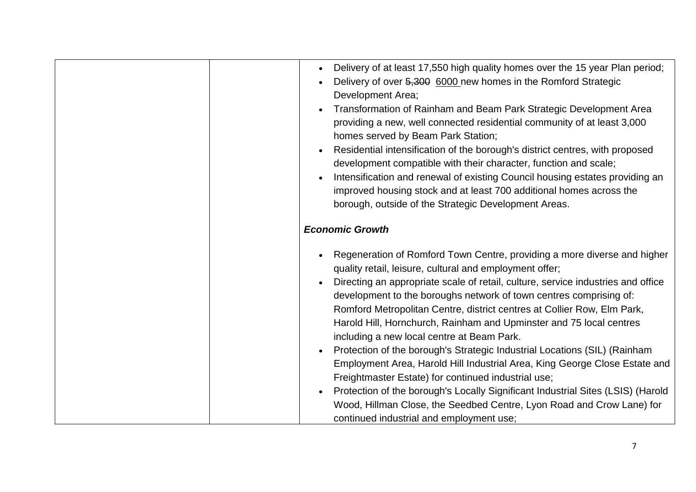| Delivery of at least 17,550 high quality homes over the 15 year Plan period;<br>Delivery of over 5,300 6000 new homes in the Romford Strategic<br>Development Area;<br>Transformation of Rainham and Beam Park Strategic Development Area<br>providing a new, well connected residential community of at least 3,000<br>homes served by Beam Park Station;<br>Residential intensification of the borough's district centres, with proposed<br>development compatible with their character, function and scale;<br>Intensification and renewal of existing Council housing estates providing an<br>improved housing stock and at least 700 additional homes across the<br>borough, outside of the Strategic Development Areas.                                                                                                                                                                                           |
|-------------------------------------------------------------------------------------------------------------------------------------------------------------------------------------------------------------------------------------------------------------------------------------------------------------------------------------------------------------------------------------------------------------------------------------------------------------------------------------------------------------------------------------------------------------------------------------------------------------------------------------------------------------------------------------------------------------------------------------------------------------------------------------------------------------------------------------------------------------------------------------------------------------------------|
| <b>Economic Growth</b>                                                                                                                                                                                                                                                                                                                                                                                                                                                                                                                                                                                                                                                                                                                                                                                                                                                                                                  |
| Regeneration of Romford Town Centre, providing a more diverse and higher<br>quality retail, leisure, cultural and employment offer;<br>Directing an appropriate scale of retail, culture, service industries and office<br>development to the boroughs network of town centres comprising of:<br>Romford Metropolitan Centre, district centres at Collier Row, Elm Park,<br>Harold Hill, Hornchurch, Rainham and Upminster and 75 local centres<br>including a new local centre at Beam Park.<br>Protection of the borough's Strategic Industrial Locations (SIL) (Rainham<br>Employment Area, Harold Hill Industrial Area, King George Close Estate and<br>Freightmaster Estate) for continued industrial use;<br>Protection of the borough's Locally Significant Industrial Sites (LSIS) (Harold<br>Wood, Hillman Close, the Seedbed Centre, Lyon Road and Crow Lane) for<br>continued industrial and employment use; |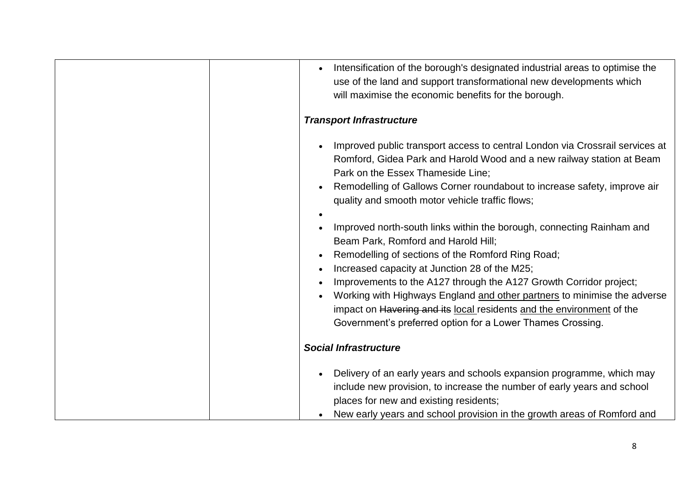| Intensification of the borough's designated industrial areas to optimise the<br>use of the land and support transformational new developments which<br>will maximise the economic benefits for the borough.                                                                                                                                                                                                                                                                                                 |
|-------------------------------------------------------------------------------------------------------------------------------------------------------------------------------------------------------------------------------------------------------------------------------------------------------------------------------------------------------------------------------------------------------------------------------------------------------------------------------------------------------------|
| <b>Transport Infrastructure</b>                                                                                                                                                                                                                                                                                                                                                                                                                                                                             |
| Improved public transport access to central London via Crossrail services at<br>Romford, Gidea Park and Harold Wood and a new railway station at Beam<br>Park on the Essex Thameside Line;<br>Remodelling of Gallows Corner roundabout to increase safety, improve air<br>quality and smooth motor vehicle traffic flows;                                                                                                                                                                                   |
| Improved north-south links within the borough, connecting Rainham and<br>Beam Park, Romford and Harold Hill;<br>Remodelling of sections of the Romford Ring Road;<br>Increased capacity at Junction 28 of the M25;<br>Improvements to the A127 through the A127 Growth Corridor project;<br>Working with Highways England and other partners to minimise the adverse<br>impact on Havering and its local residents and the environment of the<br>Government's preferred option for a Lower Thames Crossing. |
| <b>Social Infrastructure</b>                                                                                                                                                                                                                                                                                                                                                                                                                                                                                |
| Delivery of an early years and schools expansion programme, which may<br>include new provision, to increase the number of early years and school<br>places for new and existing residents;<br>New early years and school provision in the growth areas of Romford and                                                                                                                                                                                                                                       |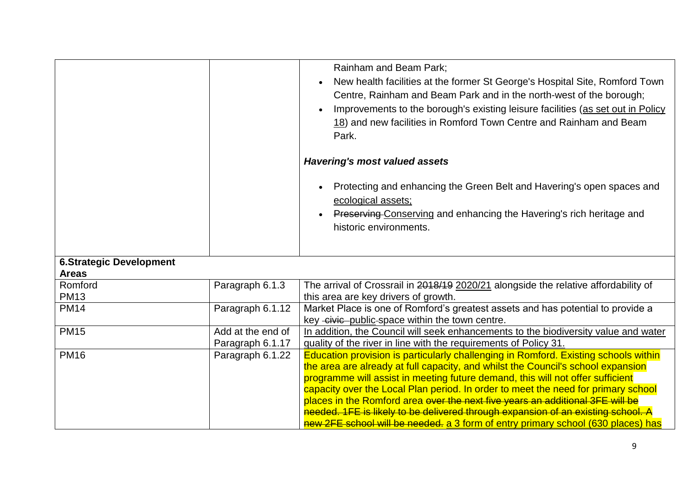|                                                |                                       | Rainham and Beam Park;<br>New health facilities at the former St George's Hospital Site, Romford Town<br>Centre, Rainham and Beam Park and in the north-west of the borough;<br>Improvements to the borough's existing leisure facilities (as set out in Policy<br>18) and new facilities in Romford Town Centre and Rainham and Beam<br>Park.<br><b>Havering's most valued assets</b>                                                                                                                                                                                                                  |
|------------------------------------------------|---------------------------------------|---------------------------------------------------------------------------------------------------------------------------------------------------------------------------------------------------------------------------------------------------------------------------------------------------------------------------------------------------------------------------------------------------------------------------------------------------------------------------------------------------------------------------------------------------------------------------------------------------------|
|                                                |                                       | Protecting and enhancing the Green Belt and Havering's open spaces and<br>ecological assets;<br>Preserving Conserving and enhancing the Havering's rich heritage and<br>historic environments.                                                                                                                                                                                                                                                                                                                                                                                                          |
| <b>6.Strategic Development</b><br><b>Areas</b> |                                       |                                                                                                                                                                                                                                                                                                                                                                                                                                                                                                                                                                                                         |
| Romford<br><b>PM13</b>                         | Paragraph 6.1.3                       | The arrival of Crossrail in 2018/19 2020/21 alongside the relative affordability of<br>this area are key drivers of growth.                                                                                                                                                                                                                                                                                                                                                                                                                                                                             |
| <b>PM14</b>                                    | Paragraph 6.1.12                      | Market Place is one of Romford's greatest assets and has potential to provide a<br>key -civic-public-space within the town centre.                                                                                                                                                                                                                                                                                                                                                                                                                                                                      |
| <b>PM15</b>                                    | Add at the end of<br>Paragraph 6.1.17 | In addition, the Council will seek enhancements to the biodiversity value and water<br>quality of the river in line with the requirements of Policy 31.                                                                                                                                                                                                                                                                                                                                                                                                                                                 |
| <b>PM16</b>                                    | Paragraph 6.1.22                      | Education provision is particularly challenging in Romford. Existing schools within<br>the area are already at full capacity, and whilst the Council's school expansion<br>programme will assist in meeting future demand, this will not offer sufficient<br>capacity over the Local Plan period. In order to meet the need for primary school<br>places in the Romford area over the next five years an additional 3FE will be<br>needed. 1FE is likely to be delivered through expansion of an existing school. A<br>new 2FE school will be needed. a 3 form of entry primary school (630 places) has |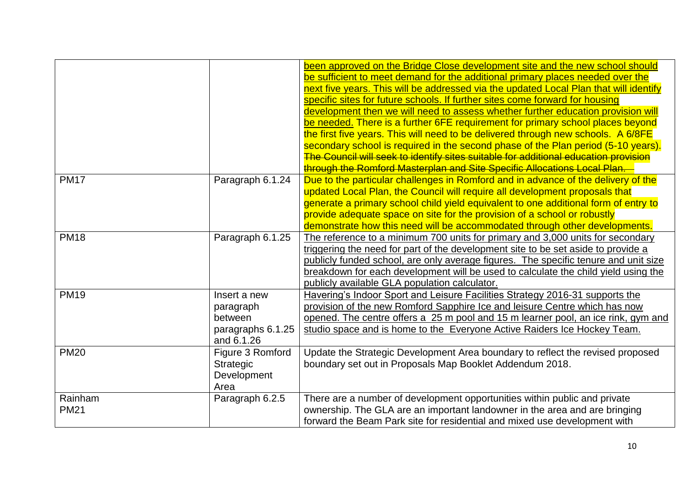|                        |                                                                         | been approved on the Bridge Close development site and the new school should<br>be sufficient to meet demand for the additional primary places needed over the<br>next five years. This will be addressed via the updated Local Plan that will identify<br>specific sites for future schools. If further sites come forward for housing<br>development then we will need to assess whether further education provision will<br>be needed. There is a further 6FE requirement for primary school places beyond<br>the first five years. This will need to be delivered through new schools. A 6/8FE<br>secondary school is required in the second phase of the Plan period (5-10 years).<br>The Council will seek to identify sites suitable for additional education provision |
|------------------------|-------------------------------------------------------------------------|--------------------------------------------------------------------------------------------------------------------------------------------------------------------------------------------------------------------------------------------------------------------------------------------------------------------------------------------------------------------------------------------------------------------------------------------------------------------------------------------------------------------------------------------------------------------------------------------------------------------------------------------------------------------------------------------------------------------------------------------------------------------------------|
| <b>PM17</b>            | Paragraph 6.1.24                                                        | through the Romford Masterplan and Site Specific Allocations Local Plan.<br>Due to the particular challenges in Romford and in advance of the delivery of the<br>updated Local Plan, the Council will require all development proposals that<br>generate a primary school child yield equivalent to one additional form of entry to<br>provide adequate space on site for the provision of a school or robustly                                                                                                                                                                                                                                                                                                                                                                |
| <b>PM18</b>            | Paragraph 6.1.25                                                        | demonstrate how this need will be accommodated through other developments.<br>The reference to a minimum 700 units for primary and 3,000 units for secondary<br>triggering the need for part of the development site to be set aside to provide a<br>publicly funded school, are only average figures. The specific tenure and unit size<br>breakdown for each development will be used to calculate the child yield using the<br>publicly available GLA population calculator.                                                                                                                                                                                                                                                                                                |
| <b>PM19</b>            | Insert a new<br>paragraph<br>between<br>paragraphs 6.1.25<br>and 6.1.26 | Havering's Indoor Sport and Leisure Facilities Strategy 2016-31 supports the<br>provision of the new Romford Sapphire Ice and leisure Centre which has now<br>opened. The centre offers a 25 m pool and 15 m learner pool, an ice rink, gym and<br>studio space and is home to the Everyone Active Raiders Ice Hockey Team.                                                                                                                                                                                                                                                                                                                                                                                                                                                    |
| <b>PM20</b>            | Figure 3 Romford<br><b>Strategic</b><br>Development<br>Area             | Update the Strategic Development Area boundary to reflect the revised proposed<br>boundary set out in Proposals Map Booklet Addendum 2018.                                                                                                                                                                                                                                                                                                                                                                                                                                                                                                                                                                                                                                     |
| Rainham<br><b>PM21</b> | Paragraph 6.2.5                                                         | There are a number of development opportunities within public and private<br>ownership. The GLA are an important landowner in the area and are bringing<br>forward the Beam Park site for residential and mixed use development with                                                                                                                                                                                                                                                                                                                                                                                                                                                                                                                                           |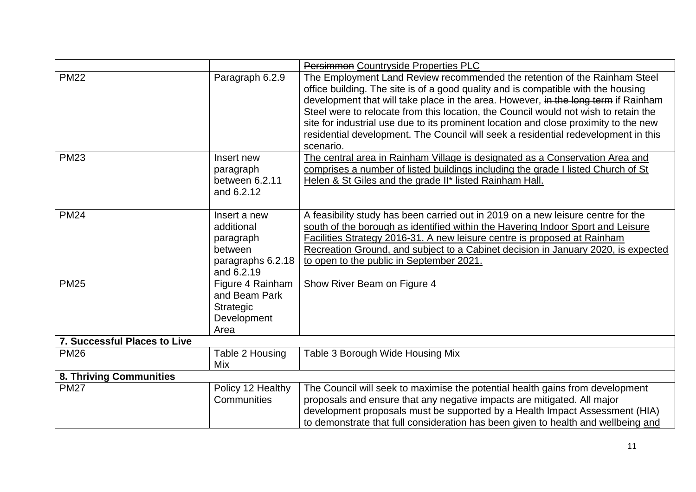|                              |                                                                                       | Persimmon Countryside Properties PLC                                                                                                                                                                                                                                                                                                                                                                                                                                                                                                   |
|------------------------------|---------------------------------------------------------------------------------------|----------------------------------------------------------------------------------------------------------------------------------------------------------------------------------------------------------------------------------------------------------------------------------------------------------------------------------------------------------------------------------------------------------------------------------------------------------------------------------------------------------------------------------------|
| <b>PM22</b>                  | Paragraph 6.2.9                                                                       | The Employment Land Review recommended the retention of the Rainham Steel<br>office building. The site is of a good quality and is compatible with the housing<br>development that will take place in the area. However, in the long term if Rainham<br>Steel were to relocate from this location, the Council would not wish to retain the<br>site for industrial use due to its prominent location and close proximity to the new<br>residential development. The Council will seek a residential redevelopment in this<br>scenario. |
| <b>PM23</b>                  | Insert new<br>paragraph<br>between 6.2.11<br>and 6.2.12                               | The central area in Rainham Village is designated as a Conservation Area and<br>comprises a number of listed buildings including the grade I listed Church of St<br>Helen & St Giles and the grade II* listed Rainham Hall.                                                                                                                                                                                                                                                                                                            |
| <b>PM24</b>                  | Insert a new<br>additional<br>paragraph<br>between<br>paragraphs 6.2.18<br>and 6.2.19 | A feasibility study has been carried out in 2019 on a new leisure centre for the<br>south of the borough as identified within the Havering Indoor Sport and Leisure<br>Facilities Strategy 2016-31. A new leisure centre is proposed at Rainham<br>Recreation Ground, and subject to a Cabinet decision in January 2020, is expected<br>to open to the public in September 2021.                                                                                                                                                       |
| <b>PM25</b>                  | Figure 4 Rainham<br>and Beam Park<br>Strategic<br>Development<br>Area                 | Show River Beam on Figure 4                                                                                                                                                                                                                                                                                                                                                                                                                                                                                                            |
| 7. Successful Places to Live |                                                                                       |                                                                                                                                                                                                                                                                                                                                                                                                                                                                                                                                        |
| <b>PM26</b>                  | Table 2 Housing<br>Mix                                                                | Table 3 Borough Wide Housing Mix                                                                                                                                                                                                                                                                                                                                                                                                                                                                                                       |
| 8. Thriving Communities      |                                                                                       |                                                                                                                                                                                                                                                                                                                                                                                                                                                                                                                                        |
| <b>PM27</b>                  | Policy 12 Healthy<br>Communities                                                      | The Council will seek to maximise the potential health gains from development<br>proposals and ensure that any negative impacts are mitigated. All major<br>development proposals must be supported by a Health Impact Assessment (HIA)<br>to demonstrate that full consideration has been given to health and wellbeing and                                                                                                                                                                                                           |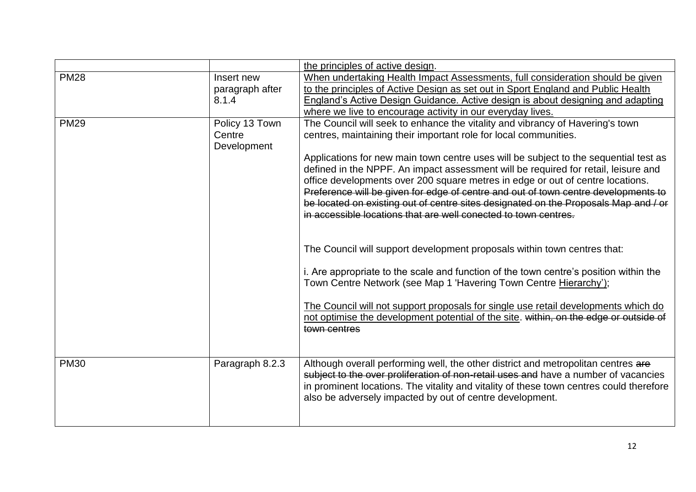|             |                                         | the principles of active design.                                                                                                                                                                                                                                                                                                                                                                                                                                                                                                                                                                                                                                                                                                                                                                                                                                                                                                                                                                                                                                                                           |
|-------------|-----------------------------------------|------------------------------------------------------------------------------------------------------------------------------------------------------------------------------------------------------------------------------------------------------------------------------------------------------------------------------------------------------------------------------------------------------------------------------------------------------------------------------------------------------------------------------------------------------------------------------------------------------------------------------------------------------------------------------------------------------------------------------------------------------------------------------------------------------------------------------------------------------------------------------------------------------------------------------------------------------------------------------------------------------------------------------------------------------------------------------------------------------------|
| <b>PM28</b> | Insert new<br>paragraph after<br>8.1.4  | When undertaking Health Impact Assessments, full consideration should be given<br>to the principles of Active Design as set out in Sport England and Public Health<br>England's Active Design Guidance. Active design is about designing and adapting<br>where we live to encourage activity in our everyday lives.                                                                                                                                                                                                                                                                                                                                                                                                                                                                                                                                                                                                                                                                                                                                                                                        |
| <b>PM29</b> | Policy 13 Town<br>Centre<br>Development | The Council will seek to enhance the vitality and vibrancy of Havering's town<br>centres, maintaining their important role for local communities.<br>Applications for new main town centre uses will be subject to the sequential test as<br>defined in the NPPF. An impact assessment will be required for retail, leisure and<br>office developments over 200 square metres in edge or out of centre locations.<br>Preference will be given for edge of centre and out of town centre developments to<br>be located on existing out of centre sites designated on the Proposals Map and / or<br>in accessible locations that are well conected to town centres.<br>The Council will support development proposals within town centres that:<br>i. Are appropriate to the scale and function of the town centre's position within the<br>Town Centre Network (see Map 1 'Havering Town Centre Hierarchy');<br>The Council will not support proposals for single use retail developments which do<br>not optimise the development potential of the site. within, on the edge or outside of<br>town centres |
| <b>PM30</b> | Paragraph 8.2.3                         | Although overall performing well, the other district and metropolitan centres are<br>subject to the over proliferation of non-retail uses and have a number of vacancies<br>in prominent locations. The vitality and vitality of these town centres could therefore<br>also be adversely impacted by out of centre development.                                                                                                                                                                                                                                                                                                                                                                                                                                                                                                                                                                                                                                                                                                                                                                            |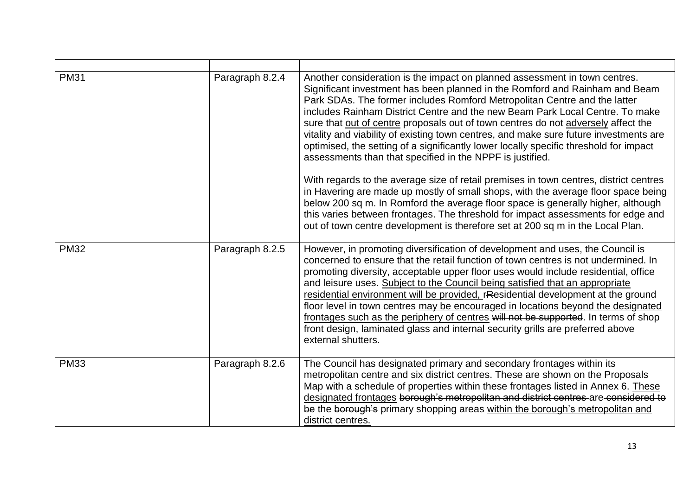| <b>PM31</b> | Paragraph 8.2.4 | Another consideration is the impact on planned assessment in town centres.<br>Significant investment has been planned in the Romford and Rainham and Beam<br>Park SDAs. The former includes Romford Metropolitan Centre and the latter<br>includes Rainham District Centre and the new Beam Park Local Centre. To make<br>sure that out of centre proposals out of town centres do not adversely affect the<br>vitality and viability of existing town centres, and make sure future investments are<br>optimised, the setting of a significantly lower locally specific threshold for impact<br>assessments than that specified in the NPPF is justified.<br>With regards to the average size of retail premises in town centres, district centres<br>in Havering are made up mostly of small shops, with the average floor space being<br>below 200 sq m. In Romford the average floor space is generally higher, although<br>this varies between frontages. The threshold for impact assessments for edge and<br>out of town centre development is therefore set at 200 sq m in the Local Plan. |
|-------------|-----------------|----------------------------------------------------------------------------------------------------------------------------------------------------------------------------------------------------------------------------------------------------------------------------------------------------------------------------------------------------------------------------------------------------------------------------------------------------------------------------------------------------------------------------------------------------------------------------------------------------------------------------------------------------------------------------------------------------------------------------------------------------------------------------------------------------------------------------------------------------------------------------------------------------------------------------------------------------------------------------------------------------------------------------------------------------------------------------------------------------|
| <b>PM32</b> | Paragraph 8.2.5 | However, in promoting diversification of development and uses, the Council is<br>concerned to ensure that the retail function of town centres is not undermined. In<br>promoting diversity, acceptable upper floor uses would include residential, office<br>and leisure uses. Subject to the Council being satisfied that an appropriate<br>residential environment will be provided, rResidential development at the ground<br>floor level in town centres may be encouraged in locations beyond the designated<br>frontages such as the periphery of centres will not be supported. In terms of shop<br>front design, laminated glass and internal security grills are preferred above<br>external shutters.                                                                                                                                                                                                                                                                                                                                                                                    |
| <b>PM33</b> | Paragraph 8.2.6 | The Council has designated primary and secondary frontages within its<br>metropolitan centre and six district centres. These are shown on the Proposals<br>Map with a schedule of properties within these frontages listed in Annex 6. These<br>designated frontages borough's metropolitan and district centres are considered to<br>be the borough's primary shopping areas within the borough's metropolitan and<br>district centres.                                                                                                                                                                                                                                                                                                                                                                                                                                                                                                                                                                                                                                                           |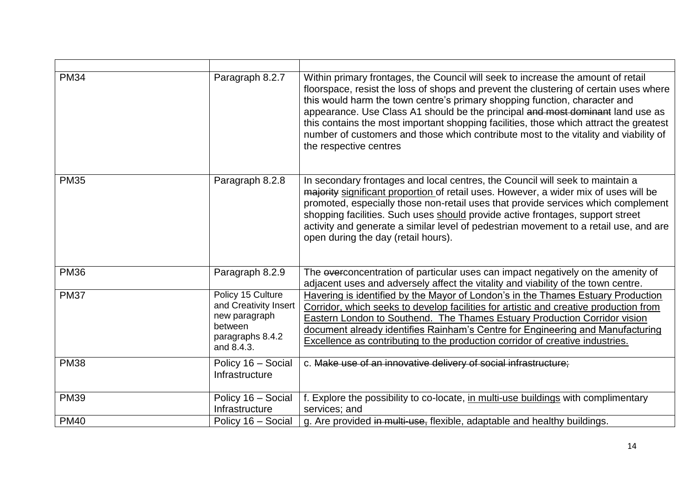| <b>PM34</b> | Paragraph 8.2.7                                                                                          | Within primary frontages, the Council will seek to increase the amount of retail<br>floorspace, resist the loss of shops and prevent the clustering of certain uses where<br>this would harm the town centre's primary shopping function, character and<br>appearance. Use Class A1 should be the principal and most dominant land use as<br>this contains the most important shopping facilities, those which attract the greatest<br>number of customers and those which contribute most to the vitality and viability of<br>the respective centres |
|-------------|----------------------------------------------------------------------------------------------------------|-------------------------------------------------------------------------------------------------------------------------------------------------------------------------------------------------------------------------------------------------------------------------------------------------------------------------------------------------------------------------------------------------------------------------------------------------------------------------------------------------------------------------------------------------------|
| <b>PM35</b> | Paragraph 8.2.8                                                                                          | In secondary frontages and local centres, the Council will seek to maintain a<br>majority significant proportion of retail uses. However, a wider mix of uses will be<br>promoted, especially those non-retail uses that provide services which complement<br>shopping facilities. Such uses should provide active frontages, support street<br>activity and generate a similar level of pedestrian movement to a retail use, and are<br>open during the day (retail hours).                                                                          |
| <b>PM36</b> | Paragraph 8.2.9                                                                                          | The everconcentration of particular uses can impact negatively on the amenity of<br>adjacent uses and adversely affect the vitality and viability of the town centre.                                                                                                                                                                                                                                                                                                                                                                                 |
| <b>PM37</b> | Policy 15 Culture<br>and Creativity Insert<br>new paragraph<br>between<br>paragraphs 8.4.2<br>and 8.4.3. | Havering is identified by the Mayor of London's in the Thames Estuary Production<br>Corridor, which seeks to develop facilities for artistic and creative production from<br>Eastern London to Southend. The Thames Estuary Production Corridor vision<br>document already identifies Rainham's Centre for Engineering and Manufacturing<br>Excellence as contributing to the production corridor of creative industries.                                                                                                                             |
| <b>PM38</b> | Policy 16 - Social<br>Infrastructure                                                                     | c. Make use of an innovative delivery of social infrastructure;                                                                                                                                                                                                                                                                                                                                                                                                                                                                                       |
| <b>PM39</b> | Policy 16 - Social<br>Infrastructure                                                                     | f. Explore the possibility to co-locate, in multi-use buildings with complimentary<br>services; and                                                                                                                                                                                                                                                                                                                                                                                                                                                   |
| <b>PM40</b> | Policy 16 - Social                                                                                       | g. Are provided in multi-use, flexible, adaptable and healthy buildings.                                                                                                                                                                                                                                                                                                                                                                                                                                                                              |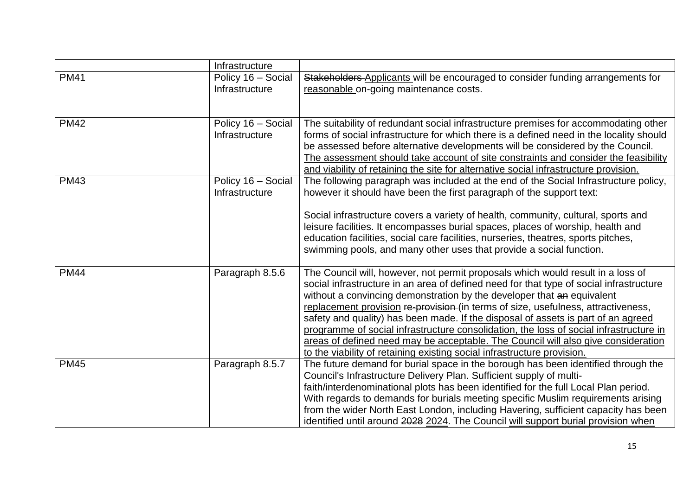|             | Infrastructure                       |                                                                                                                                                                                                                                                                                                                                                                                                                                                                                                                                                                                                                                                                                          |
|-------------|--------------------------------------|------------------------------------------------------------------------------------------------------------------------------------------------------------------------------------------------------------------------------------------------------------------------------------------------------------------------------------------------------------------------------------------------------------------------------------------------------------------------------------------------------------------------------------------------------------------------------------------------------------------------------------------------------------------------------------------|
| <b>PM41</b> | Policy 16 - Social<br>Infrastructure | Stakeholders Applicants will be encouraged to consider funding arrangements for<br>reasonable on-going maintenance costs.                                                                                                                                                                                                                                                                                                                                                                                                                                                                                                                                                                |
| <b>PM42</b> | Policy 16 - Social<br>Infrastructure | The suitability of redundant social infrastructure premises for accommodating other<br>forms of social infrastructure for which there is a defined need in the locality should<br>be assessed before alternative developments will be considered by the Council.<br>The assessment should take account of site constraints and consider the feasibility<br>and viability of retaining the site for alternative social infrastructure provision.                                                                                                                                                                                                                                          |
| <b>PM43</b> | Policy 16 - Social<br>Infrastructure | The following paragraph was included at the end of the Social Infrastructure policy,<br>however it should have been the first paragraph of the support text:<br>Social infrastructure covers a variety of health, community, cultural, sports and<br>leisure facilities. It encompasses burial spaces, places of worship, health and<br>education facilities, social care facilities, nurseries, theatres, sports pitches,<br>swimming pools, and many other uses that provide a social function.                                                                                                                                                                                        |
| <b>PM44</b> | Paragraph 8.5.6                      | The Council will, however, not permit proposals which would result in a loss of<br>social infrastructure in an area of defined need for that type of social infrastructure<br>without a convincing demonstration by the developer that an equivalent<br>replacement provision re-provision (in terms of size, usefulness, attractiveness,<br>safety and quality) has been made. If the disposal of assets is part of an agreed<br>programme of social infrastructure consolidation, the loss of social infrastructure in<br>areas of defined need may be acceptable. The Council will also give consideration<br>to the viability of retaining existing social infrastructure provision. |
| <b>PM45</b> | Paragraph 8.5.7                      | The future demand for burial space in the borough has been identified through the<br>Council's Infrastructure Delivery Plan. Sufficient supply of multi-<br>faith/interdenominational plots has been identified for the full Local Plan period.<br>With regards to demands for burials meeting specific Muslim requirements arising<br>from the wider North East London, including Havering, sufficient capacity has been<br>identified until around 2028 2024. The Council will support burial provision when                                                                                                                                                                           |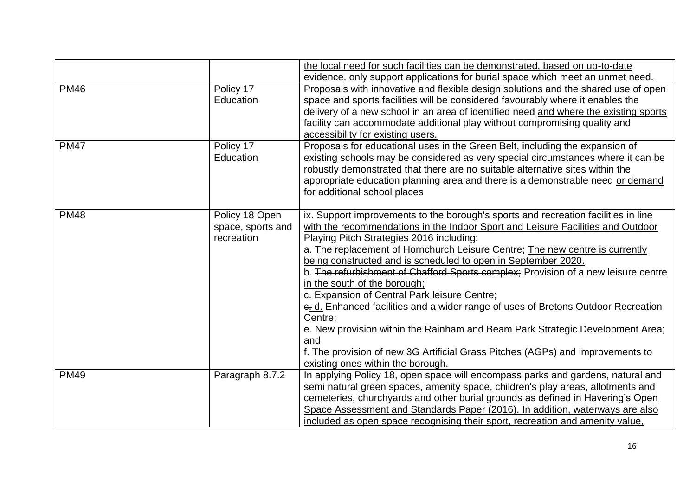|             |                                                   | the local need for such facilities can be demonstrated, based on up-to-date<br>evidence. only support applications for burial space which meet an unmet need.                                                                                                                                                                                                                                                                                                                                                                                                                                                                                                                                                                                                                                                                                           |
|-------------|---------------------------------------------------|---------------------------------------------------------------------------------------------------------------------------------------------------------------------------------------------------------------------------------------------------------------------------------------------------------------------------------------------------------------------------------------------------------------------------------------------------------------------------------------------------------------------------------------------------------------------------------------------------------------------------------------------------------------------------------------------------------------------------------------------------------------------------------------------------------------------------------------------------------|
| <b>PM46</b> | Policy 17<br>Education                            | Proposals with innovative and flexible design solutions and the shared use of open<br>space and sports facilities will be considered favourably where it enables the<br>delivery of a new school in an area of identified need and where the existing sports<br>facility can accommodate additional play without compromising quality and<br>accessibility for existing users.                                                                                                                                                                                                                                                                                                                                                                                                                                                                          |
| <b>PM47</b> | Policy 17<br>Education                            | Proposals for educational uses in the Green Belt, including the expansion of<br>existing schools may be considered as very special circumstances where it can be<br>robustly demonstrated that there are no suitable alternative sites within the<br>appropriate education planning area and there is a demonstrable need or demand<br>for additional school places                                                                                                                                                                                                                                                                                                                                                                                                                                                                                     |
| <b>PM48</b> | Policy 18 Open<br>space, sports and<br>recreation | ix. Support improvements to the borough's sports and recreation facilities in line<br>with the recommendations in the Indoor Sport and Leisure Facilities and Outdoor<br>Playing Pitch Strategies 2016 including:<br>a. The replacement of Hornchurch Leisure Centre; The new centre is currently<br>being constructed and is scheduled to open in September 2020.<br>b. The refurbishment of Chafford Sports complex; Provision of a new leisure centre<br>in the south of the borough;<br>c. Expansion of Central Park leisure Centre;<br>e. d. Enhanced facilities and a wider range of uses of Bretons Outdoor Recreation<br>Centre:<br>e. New provision within the Rainham and Beam Park Strategic Development Area;<br>and<br>f. The provision of new 3G Artificial Grass Pitches (AGPs) and improvements to<br>existing ones within the borough. |
| <b>PM49</b> | Paragraph 8.7.2                                   | In applying Policy 18, open space will encompass parks and gardens, natural and<br>semi natural green spaces, amenity space, children's play areas, allotments and<br>cemeteries, churchyards and other burial grounds as defined in Havering's Open<br>Space Assessment and Standards Paper (2016). In addition, waterways are also<br>included as open space recognising their sport, recreation and amenity value,                                                                                                                                                                                                                                                                                                                                                                                                                                   |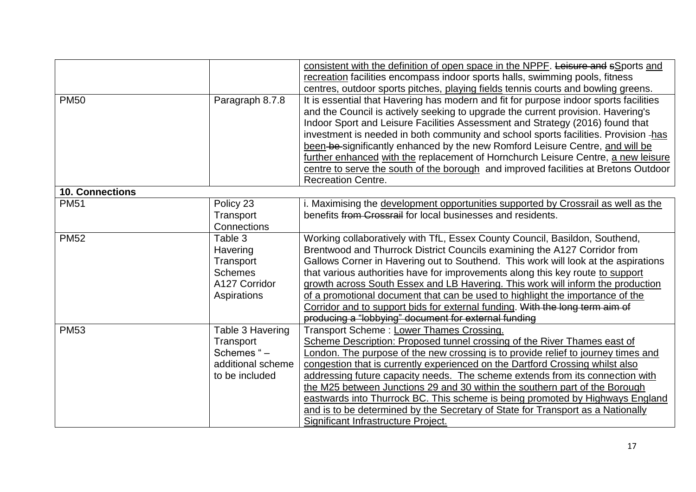|                        |                   | consistent with the definition of open space in the NPPF. Leisure and sSports and<br>recreation facilities encompass indoor sports halls, swimming pools, fitness |
|------------------------|-------------------|-------------------------------------------------------------------------------------------------------------------------------------------------------------------|
|                        |                   | centres, outdoor sports pitches, playing fields tennis courts and bowling greens.                                                                                 |
| <b>PM50</b>            | Paragraph 8.7.8   | It is essential that Havering has modern and fit for purpose indoor sports facilities                                                                             |
|                        |                   | and the Council is actively seeking to upgrade the current provision. Havering's                                                                                  |
|                        |                   | Indoor Sport and Leisure Facilities Assessment and Strategy (2016) found that                                                                                     |
|                        |                   | investment is needed in both community and school sports facilities. Provision -has                                                                               |
|                        |                   | been-be-significantly enhanced by the new Romford Leisure Centre, and will be                                                                                     |
|                        |                   | further enhanced with the replacement of Hornchurch Leisure Centre, a new leisure                                                                                 |
|                        |                   | centre to serve the south of the borough and improved facilities at Bretons Outdoor                                                                               |
|                        |                   | <b>Recreation Centre.</b>                                                                                                                                         |
| <b>10. Connections</b> |                   |                                                                                                                                                                   |
| <b>PM51</b>            | Policy 23         | i. Maximising the development opportunities supported by Crossrail as well as the                                                                                 |
|                        | Transport         | benefits from Crossrail for local businesses and residents.                                                                                                       |
|                        | Connections       |                                                                                                                                                                   |
| <b>PM52</b>            | Table 3           | Working collaboratively with TfL, Essex County Council, Basildon, Southend,                                                                                       |
|                        | Havering          | Brentwood and Thurrock District Councils examining the A127 Corridor from                                                                                         |
|                        | Transport         | Gallows Corner in Havering out to Southend. This work will look at the aspirations                                                                                |
|                        | <b>Schemes</b>    | that various authorities have for improvements along this key route to support                                                                                    |
|                        | A127 Corridor     | growth across South Essex and LB Havering. This work will inform the production                                                                                   |
|                        | Aspirations       | of a promotional document that can be used to highlight the importance of the                                                                                     |
|                        |                   | Corridor and to support bids for external funding. With the long term aim of                                                                                      |
|                        |                   | producing a "lobbying" document for external funding                                                                                                              |
| <b>PM53</b>            | Table 3 Havering  | Transport Scheme: Lower Thames Crossing.                                                                                                                          |
|                        | Transport         | Scheme Description: Proposed tunnel crossing of the River Thames east of                                                                                          |
|                        | Schemes "-        | London. The purpose of the new crossing is to provide relief to journey times and                                                                                 |
|                        | additional scheme | congestion that is currently experienced on the Dartford Crossing whilst also                                                                                     |
|                        | to be included    | addressing future capacity needs. The scheme extends from its connection with                                                                                     |
|                        |                   | the M25 between Junctions 29 and 30 within the southern part of the Borough                                                                                       |
|                        |                   | eastwards into Thurrock BC. This scheme is being promoted by Highways England                                                                                     |
|                        |                   | and is to be determined by the Secretary of State for Transport as a Nationally                                                                                   |
|                        |                   | Significant Infrastructure Project.                                                                                                                               |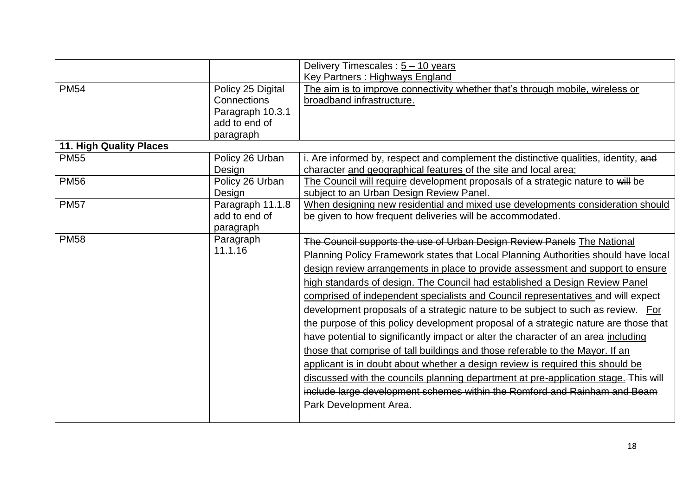|                                |                   | Delivery Timescales : $5 - 10$ years                                                 |
|--------------------------------|-------------------|--------------------------------------------------------------------------------------|
|                                |                   | Key Partners: Highways England                                                       |
| <b>PM54</b>                    | Policy 25 Digital | The aim is to improve connectivity whether that's through mobile, wireless or        |
|                                | Connections       | broadband infrastructure.                                                            |
|                                | Paragraph 10.3.1  |                                                                                      |
|                                | add to end of     |                                                                                      |
|                                | paragraph         |                                                                                      |
| <b>11. High Quality Places</b> |                   |                                                                                      |
| <b>PM55</b>                    | Policy 26 Urban   | i. Are informed by, respect and complement the distinctive qualities, identity, and  |
|                                | Design            | character and geographical features of the site and local area;                      |
| <b>PM56</b>                    | Policy 26 Urban   | The Council will require development proposals of a strategic nature to will be      |
|                                | Design            | subject to an Urban Design Review Panel.                                             |
| <b>PM57</b>                    | Paragraph 11.1.8  | When designing new residential and mixed use developments consideration should       |
|                                | add to end of     | be given to how frequent deliveries will be accommodated.                            |
|                                | paragraph         |                                                                                      |
| <b>PM58</b>                    | Paragraph         | The Council supports the use of Urban Design Review Panels The National              |
|                                | 11.1.16           | Planning Policy Framework states that Local Planning Authorities should have local   |
|                                |                   | design review arrangements in place to provide assessment and support to ensure      |
|                                |                   | high standards of design. The Council had established a Design Review Panel          |
|                                |                   | comprised of independent specialists and Council representatives and will expect     |
|                                |                   | development proposals of a strategic nature to be subject to such as review. For     |
|                                |                   | the purpose of this policy development proposal of a strategic nature are those that |
|                                |                   | have potential to significantly impact or alter the character of an area including   |
|                                |                   | those that comprise of tall buildings and those referable to the Mayor. If an        |
|                                |                   | applicant is in doubt about whether a design review is required this should be       |
|                                |                   |                                                                                      |
|                                |                   | discussed with the councils planning department at pre-application stage. This will  |
|                                |                   | include large development schemes within the Romford and Rainham and Beam            |
|                                |                   | Park Development Area.                                                               |
|                                |                   |                                                                                      |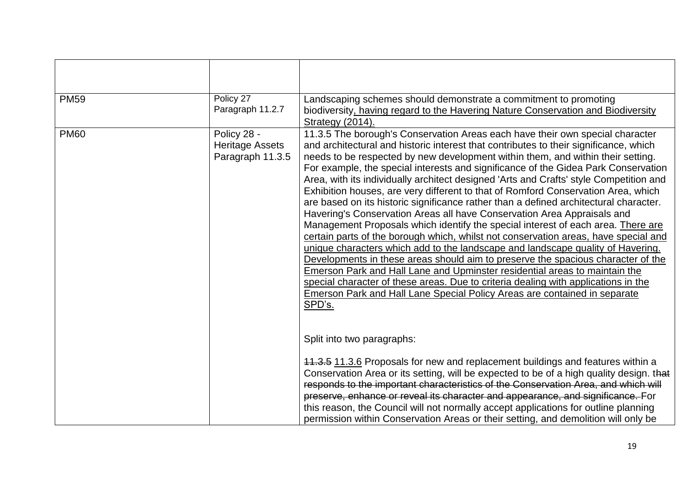| <b>PM59</b>                                                              | Policy 27<br>Paragraph 11.2.7                                                                                                                                                                                                                                                                                                                                                                                                                                                                                                                                                                                                                                                                                                                                                                                                                                                                                                                                                                                                                                                                                                                                                                                                                                                                                   | Landscaping schemes should demonstrate a commitment to promoting<br>biodiversity, having regard to the Havering Nature Conservation and Biodiversity<br>Strategy (2014).                                                                                                                                                                                                                                                                                                                                                                                       |
|--------------------------------------------------------------------------|-----------------------------------------------------------------------------------------------------------------------------------------------------------------------------------------------------------------------------------------------------------------------------------------------------------------------------------------------------------------------------------------------------------------------------------------------------------------------------------------------------------------------------------------------------------------------------------------------------------------------------------------------------------------------------------------------------------------------------------------------------------------------------------------------------------------------------------------------------------------------------------------------------------------------------------------------------------------------------------------------------------------------------------------------------------------------------------------------------------------------------------------------------------------------------------------------------------------------------------------------------------------------------------------------------------------|----------------------------------------------------------------------------------------------------------------------------------------------------------------------------------------------------------------------------------------------------------------------------------------------------------------------------------------------------------------------------------------------------------------------------------------------------------------------------------------------------------------------------------------------------------------|
| <b>PM60</b><br>Policy 28 -<br><b>Heritage Assets</b><br>Paragraph 11.3.5 | 11.3.5 The borough's Conservation Areas each have their own special character<br>and architectural and historic interest that contributes to their significance, which<br>needs to be respected by new development within them, and within their setting.<br>For example, the special interests and significance of the Gidea Park Conservation<br>Area, with its individually architect designed 'Arts and Crafts' style Competition and<br>Exhibition houses, are very different to that of Romford Conservation Area, which<br>are based on its historic significance rather than a defined architectural character.<br>Havering's Conservation Areas all have Conservation Area Appraisals and<br>Management Proposals which identify the special interest of each area. There are<br>certain parts of the borough which, whilst not conservation areas, have special and<br>unique characters which add to the landscape and landscape quality of Havering.<br>Developments in these areas should aim to preserve the spacious character of the<br>Emerson Park and Hall Lane and Upminster residential areas to maintain the<br>special character of these areas. Due to criteria dealing with applications in the<br>Emerson Park and Hall Lane Special Policy Areas are contained in separate<br>SPD's. |                                                                                                                                                                                                                                                                                                                                                                                                                                                                                                                                                                |
|                                                                          |                                                                                                                                                                                                                                                                                                                                                                                                                                                                                                                                                                                                                                                                                                                                                                                                                                                                                                                                                                                                                                                                                                                                                                                                                                                                                                                 | Split into two paragraphs:<br>11.3.5 11.3.6 Proposals for new and replacement buildings and features within a<br>Conservation Area or its setting, will be expected to be of a high quality design. that<br>responds to the important characteristics of the Conservation Area, and which will<br>preserve, enhance or reveal its character and appearance, and significance. For<br>this reason, the Council will not normally accept applications for outline planning<br>permission within Conservation Areas or their setting, and demolition will only be |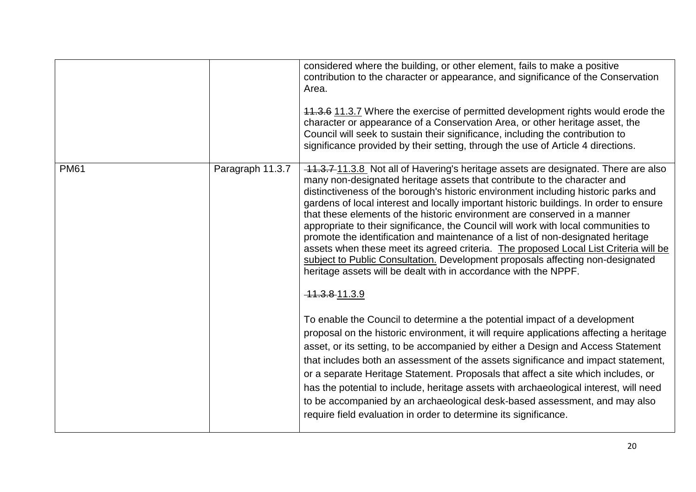|             |                  | considered where the building, or other element, fails to make a positive<br>contribution to the character or appearance, and significance of the Conservation<br>Area.<br>11.3.6 11.3.7 Where the exercise of permitted development rights would erode the<br>character or appearance of a Conservation Area, or other heritage asset, the<br>Council will seek to sustain their significance, including the contribution to<br>significance provided by their setting, through the use of Article 4 directions.                                                                                                                                                                                                                                                                                                                                 |
|-------------|------------------|---------------------------------------------------------------------------------------------------------------------------------------------------------------------------------------------------------------------------------------------------------------------------------------------------------------------------------------------------------------------------------------------------------------------------------------------------------------------------------------------------------------------------------------------------------------------------------------------------------------------------------------------------------------------------------------------------------------------------------------------------------------------------------------------------------------------------------------------------|
| <b>PM61</b> | Paragraph 11.3.7 | 11.3.7 11.3.8 Not all of Havering's heritage assets are designated. There are also<br>many non-designated heritage assets that contribute to the character and<br>distinctiveness of the borough's historic environment including historic parks and<br>gardens of local interest and locally important historic buildings. In order to ensure<br>that these elements of the historic environment are conserved in a manner<br>appropriate to their significance, the Council will work with local communities to<br>promote the identification and maintenance of a list of non-designated heritage<br>assets when these meet its agreed criteria. The proposed Local List Criteria will be<br>subject to Public Consultation. Development proposals affecting non-designated<br>heritage assets will be dealt with in accordance with the NPPF. |
|             |                  | 44.3.8-11.3.9<br>To enable the Council to determine a the potential impact of a development<br>proposal on the historic environment, it will require applications affecting a heritage<br>asset, or its setting, to be accompanied by either a Design and Access Statement<br>that includes both an assessment of the assets significance and impact statement,<br>or a separate Heritage Statement. Proposals that affect a site which includes, or<br>has the potential to include, heritage assets with archaeological interest, will need<br>to be accompanied by an archaeological desk-based assessment, and may also<br>require field evaluation in order to determine its significance.                                                                                                                                                   |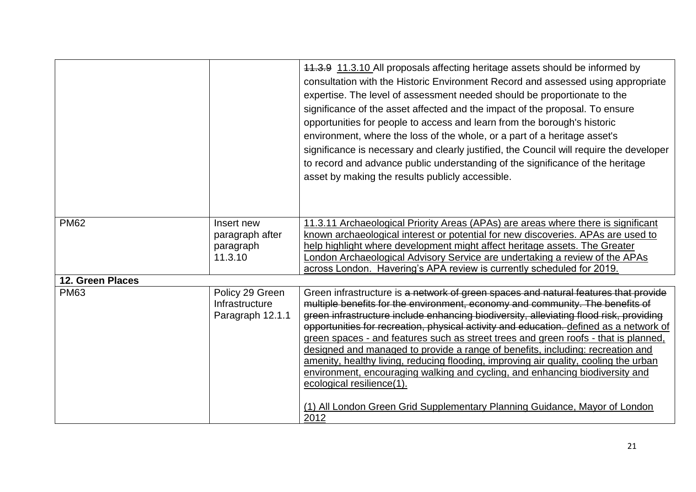|                  |                                                       | 11.3.9 11.3.10 All proposals affecting heritage assets should be informed by<br>consultation with the Historic Environment Record and assessed using appropriate<br>expertise. The level of assessment needed should be proportionate to the<br>significance of the asset affected and the impact of the proposal. To ensure<br>opportunities for people to access and learn from the borough's historic<br>environment, where the loss of the whole, or a part of a heritage asset's<br>significance is necessary and clearly justified, the Council will require the developer<br>to record and advance public understanding of the significance of the heritage<br>asset by making the results publicly accessible.                                                                                                       |
|------------------|-------------------------------------------------------|------------------------------------------------------------------------------------------------------------------------------------------------------------------------------------------------------------------------------------------------------------------------------------------------------------------------------------------------------------------------------------------------------------------------------------------------------------------------------------------------------------------------------------------------------------------------------------------------------------------------------------------------------------------------------------------------------------------------------------------------------------------------------------------------------------------------------|
| <b>PM62</b>      | Insert new<br>paragraph after<br>paragraph<br>11.3.10 | 11.3.11 Archaeological Priority Areas (APAs) are areas where there is significant<br>known archaeological interest or potential for new discoveries. APAs are used to<br>help highlight where development might affect heritage assets. The Greater<br>London Archaeological Advisory Service are undertaking a review of the APAs<br>across London. Havering's APA review is currently scheduled for 2019.                                                                                                                                                                                                                                                                                                                                                                                                                  |
| 12. Green Places |                                                       |                                                                                                                                                                                                                                                                                                                                                                                                                                                                                                                                                                                                                                                                                                                                                                                                                              |
| <b>PM63</b>      | Policy 29 Green<br>Infrastructure<br>Paragraph 12.1.1 | Green infrastructure is a network of green spaces and natural features that provide<br>multiple benefits for the environment, economy and community. The benefits of<br>green infrastructure include enhancing biodiversity, alleviating flood risk, providing<br>opportunities for recreation, physical activity and education. defined as a network of<br>green spaces - and features such as street trees and green roofs - that is planned,<br>designed and managed to provide a range of benefits, including: recreation and<br>amenity, healthy living, reducing flooding, improving air quality, cooling the urban<br>environment, encouraging walking and cycling, and enhancing biodiversity and<br>ecological resilience(1).<br>(1) All London Green Grid Supplementary Planning Guidance, Mayor of London<br>2012 |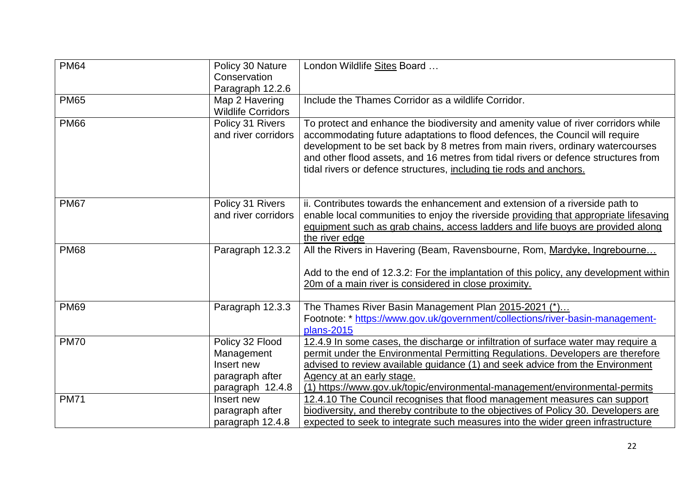| <b>PM64</b> | Policy 30 Nature<br>Conservation<br>Paragraph 12.2.6                               | London Wildlife Sites Board                                                                                                                                                                                                                                                                                                                                                                                       |
|-------------|------------------------------------------------------------------------------------|-------------------------------------------------------------------------------------------------------------------------------------------------------------------------------------------------------------------------------------------------------------------------------------------------------------------------------------------------------------------------------------------------------------------|
| <b>PM65</b> | Map 2 Havering<br><b>Wildlife Corridors</b>                                        | Include the Thames Corridor as a wildlife Corridor.                                                                                                                                                                                                                                                                                                                                                               |
| <b>PM66</b> | Policy 31 Rivers<br>and river corridors                                            | To protect and enhance the biodiversity and amenity value of river corridors while<br>accommodating future adaptations to flood defences, the Council will require<br>development to be set back by 8 metres from main rivers, ordinary watercourses<br>and other flood assets, and 16 metres from tidal rivers or defence structures from<br>tidal rivers or defence structures, including tie rods and anchors. |
| <b>PM67</b> | Policy 31 Rivers<br>and river corridors                                            | ii. Contributes towards the enhancement and extension of a riverside path to<br>enable local communities to enjoy the riverside providing that appropriate lifesaving<br>equipment such as grab chains, access ladders and life buoys are provided along<br>the river edge                                                                                                                                        |
| <b>PM68</b> | Paragraph 12.3.2                                                                   | All the Rivers in Havering (Beam, Ravensbourne, Rom, Mardyke, Ingrebourne<br>Add to the end of 12.3.2: For the implantation of this policy, any development within<br>20m of a main river is considered in close proximity.                                                                                                                                                                                       |
| <b>PM69</b> | Paragraph 12.3.3                                                                   | The Thames River Basin Management Plan 2015-2021 (*)<br>Footnote: * https://www.gov.uk/government/collections/river-basin-management-<br>plans-2015                                                                                                                                                                                                                                                               |
| <b>PM70</b> | Policy 32 Flood<br>Management<br>Insert new<br>paragraph after<br>paragraph 12.4.8 | 12.4.9 In some cases, the discharge or infiltration of surface water may require a<br>permit under the Environmental Permitting Regulations. Developers are therefore<br>advised to review available guidance (1) and seek advice from the Environment<br>Agency at an early stage.<br>(1) https://www.gov.uk/topic/environmental-management/environmental-permits                                                |
| <b>PM71</b> | Insert new<br>paragraph after<br>paragraph 12.4.8                                  | 12.4.10 The Council recognises that flood management measures can support<br>biodiversity, and thereby contribute to the objectives of Policy 30. Developers are<br>expected to seek to integrate such measures into the wider green infrastructure                                                                                                                                                               |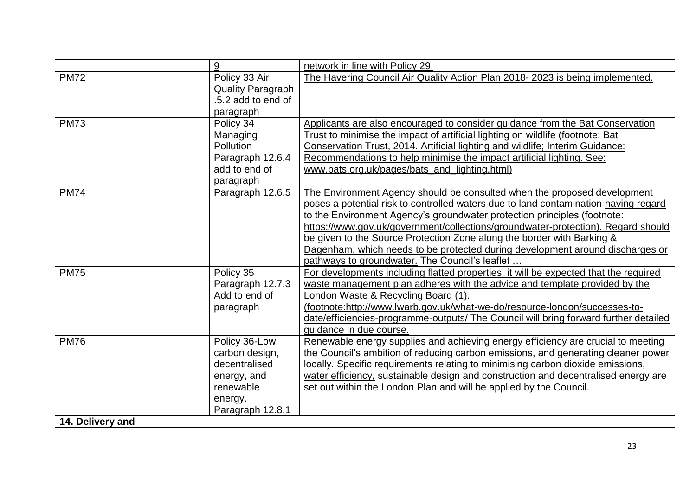|                  | 9                        | network in line with Policy 29.                                                      |
|------------------|--------------------------|--------------------------------------------------------------------------------------|
| <b>PM72</b>      | Policy 33 Air            | The Havering Council Air Quality Action Plan 2018-2023 is being implemented.         |
|                  | <b>Quality Paragraph</b> |                                                                                      |
|                  | .5.2 add to end of       |                                                                                      |
|                  | paragraph                |                                                                                      |
| <b>PM73</b>      | Policy 34                | Applicants are also encouraged to consider guidance from the Bat Conservation        |
|                  | Managing                 | Trust to minimise the impact of artificial lighting on wildlife (footnote: Bat       |
|                  | <b>Pollution</b>         | Conservation Trust, 2014. Artificial lighting and wildlife; Interim Guidance:        |
|                  | Paragraph 12.6.4         | Recommendations to help minimise the impact artificial lighting. See:                |
|                  | add to end of            | www.bats.org.uk/pages/bats_and_lighting.html)                                        |
|                  | paragraph                |                                                                                      |
| <b>PM74</b>      | Paragraph 12.6.5         | The Environment Agency should be consulted when the proposed development             |
|                  |                          | poses a potential risk to controlled waters due to land contamination having regard  |
|                  |                          | to the Environment Agency's groundwater protection principles (footnote:             |
|                  |                          | https://www.gov.uk/government/collections/groundwater-protection). Regard should     |
|                  |                          | be given to the Source Protection Zone along the border with Barking &               |
|                  |                          | Dagenham, which needs to be protected during development around discharges or        |
|                  |                          | pathways to groundwater. The Council's leaflet                                       |
| <b>PM75</b>      | Policy 35                | For developments including flatted properties, it will be expected that the required |
|                  | Paragraph 12.7.3         | waste management plan adheres with the advice and template provided by the           |
|                  | Add to end of            | London Waste & Recycling Board (1).                                                  |
|                  | paragraph                | (footnote:http://www.lwarb.gov.uk/what-we-do/resource-london/successes-to-           |
|                  |                          | date/efficiencies-programme-outputs/ The Council will bring forward further detailed |
|                  |                          | quidance in due course.                                                              |
| <b>PM76</b>      | Policy 36-Low            | Renewable energy supplies and achieving energy efficiency are crucial to meeting     |
|                  | carbon design,           | the Council's ambition of reducing carbon emissions, and generating cleaner power    |
|                  | decentralised            | locally. Specific requirements relating to minimising carbon dioxide emissions,      |
|                  | energy, and              | water efficiency, sustainable design and construction and decentralised energy are   |
|                  | renewable                | set out within the London Plan and will be applied by the Council.                   |
|                  | energy.                  |                                                                                      |
|                  | Paragraph 12.8.1         |                                                                                      |
| 14. Delivery and |                          |                                                                                      |